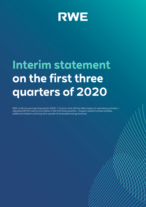

# **Interim statement on the first three quarters of 2020**

RWE confirms earnings forecast for 2020 // Corona crisis still has little impact on operating activities // Adjusted EBITDA rises to €2.2 billion in the first three quarters // August capital increase enables additional medium and long-term growth of renewable energy business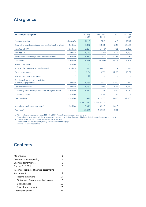# At a glance

| <b>RWE Group - key figures</b>                                   |                    | Jan - Sep<br>2020 | Jan - Sep<br>2019        | $+/-$                    | $Jan - Dec$<br>2019 |
|------------------------------------------------------------------|--------------------|-------------------|--------------------------|--------------------------|---------------------|
| Power generation                                                 | billion kWh        | 101.5             | 107.8                    | $-6.3$                   | 153.2               |
| External revenue (excluding natural gas tax/electricity tax)     | $\epsilon$ million | 9,392             | 9,060 <sup>1</sup>       | 332                      | 13,125              |
| <b>Adjusted EBITDA</b>                                           | $\epsilon$ million | 2,224             | 1,443 <sup>2</sup>       | 781                      | 2,489               |
| <b>Adjusted EBIT</b>                                             | $\epsilon$ million | 1,145             | 628 <sup>2</sup>         | 517                      | 1,267               |
| Income from continuing operations before taxes                   | $\epsilon$ million | 1,911             | $-2502$                  | 2,161                    | $-752$              |
| Net income                                                       | $\epsilon$ million | 1,583             | 9.094 <sup>2</sup>       | $-7,511$                 | 8,498               |
| Adjusted net income                                              | $\epsilon$ million | 762               | $\overline{\phantom{a}}$ | $\overline{\phantom{0}}$ |                     |
| Number of shares outstanding (average)                           | millions           | 624.3             | 614.7                    |                          | 614.7               |
| Earnings per share                                               | €                  | 2.54              | 14.79                    | $-12.25$                 | 13.82               |
| Adjusted net income per share                                    | €                  | 1.22              |                          |                          |                     |
| Cash flows from operating activities<br>of continuing operations | $\epsilon$ million | 1,768             | $-1,452$                 | 3,220                    | $-977$              |
| Capital expenditure <sup>3</sup>                                 | $\epsilon$ million | 1,662             | 1,005                    | 657                      | 1,771               |
| Property, plant and equipment and intangible assets              | $\epsilon$ million | 1.562             | 1.038                    | 524                      | 1.767               |
| <b>Financial assets</b>                                          | $\epsilon$ million | 100               | $-33$                    | 133                      | 4                   |
| Free cash flow                                                   | $\epsilon$ million | 427               | $-1,976$                 | 2,403                    | $-2,053$            |
|                                                                  |                    | 30 Sep 2020       | 31 Dec 2019              |                          |                     |
| Net debt of continuing operations <sup>4</sup>                   | $\epsilon$ million | 5,911             | 6,927                    | $-1,016$                 |                     |
| Workforce <sup>5</sup>                                           |                    | 19,531            | 19,792                   | $-261$                   |                     |

1 Prior-year figures restated; see page 116 of the 2019 Annual Report for related commentary.

2 Figures changed retrospectively due to retroactive adjustments to the first-time consolidation of the E.ON operations acquired in 2019.

3 Only cash investments; prior-year figures restated accordingly.

4 New definition and restated prior-year figure; see commentary on page 14.

5 Converted to full-time positions.

## **Contents**

| Major events                              |    |
|-------------------------------------------|----|
| Commentary on reporting                   | 4  |
| <b>Business performance</b>               | 5  |
| Outlook for 2020                          | 15 |
| Interim consolidated financial statements |    |
| (condensed)                               | 17 |
| Income statement                          | 17 |
| Statement of comprehensive income         | 18 |
| <b>Balance sheet</b>                      | 19 |
| Cash flow statement                       | 20 |
| Financial calendar 2021                   | 21 |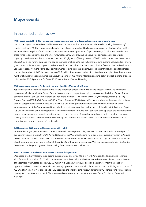## Major events

### In the period under review

#### **RWE raises capital by 10 % – issuance proceeds earmarked for additional renewable energy projects**

On 18 / 19 August, we issued 61.5 million new RWE shares to institutional investors, thereby increasing the company's capital stock by 10 %. The shares were placed by way of accelerated bookbuilding under exclusion of subscription rights. Based on the issue price of €32.55 per share, we achieved gross proceeds of approximately €2 billion. We intend to use these funds to speed up the expansion of renewable energy. Our previous objective was to increase our generation capacity based on renewable sources to more than 13 gigawatts (GW) by the end of 2022 and to make a net investment of about €5 billion for this purpose. The capital increase enables us to tackle further projects pushing us beyond our original goal. For example, we spent approximately €400 million to acquire a 2.7 GW project pipeline from Nordex, and we intend to use the proceeds from the rights issue to implement projects from this pipeline, among other things. The capital increase caused the number of RWE shares to rise to 676.2 million. The new and old stock confer the same rights. Despite the larger number of dividend-bearing shares, the Executive Board of RWE AG maintains its dividend policy and still plans to propose a dividend of €0.85 per share for fiscal 2020 to the Annual General Meeting.

#### **RWE secures agreements for lease to expand four UK offshore wind farms**

Together with co-owners, we set the stage for the expansion of four wind farms off the coast of the UK. We concluded agreements for lease with the Crown Estate, the authority in charge of managing the assets of the British Crown. These contracts enable us to use further areas at each of the locations. This relates to the Gwynt y Môr (currently 576 MW), Greater Gabbard (504 MW), Galloper (353 MW) and Rampion (400 MW) wind farms. In each case, the expansion options allow existing capacity to be doubled. As a result, 1.8 GW of new generation capacity can be built. In addition to an expansion option at the Rampion wind farm, which has not been exercised so far, this could lead to a total volume of up to 2.6 GW. Based on the shareholding ratios, 1.3 GW is allocable to RWE. Now our goal is to develop these projects rapidly. We expect the approval procedure to take between three and five years. Thereafter, we will participate in auctions for state subsidy contracts and – should we submit a winning bid – we will start construction. The new wind farms could then be commissioned towards the end of the decade.

#### **E.ON acquires RWE stake in Slovak energy utility VSE**

At the end of August, we transferred our 49 % interest in Slovak power utility VSE to E.ON. The transaction formed part of our extensive asset swap with E.ON. We had taken over the VSE shareholding from our former subsidiary innogy in August 2019. The objective was to sell it to E.ON later on at the same conditions. However, this was subject to the approval of the Slovak government, which was granted at the end of July. The price of the stake in VSE had been considered in September 2019 when settling the payment claims arising from the asset swap with E.ON.

#### **Texas: 220 MW Cranell wind farm enters commercial operation**

We passed another milestone in enlarging our renewable energy portfolio in North America. The Texan Cranell onshore wind farm, which consists of 100 wind turbines with a total capacity of 220 MW, started commercial operation at the end of September. We invested about US\$250 million in it. Cranell will produce enough electricity to meet the needs of approximately 66,000 US households. We currently operate 25 onshore wind farms in the USA, combining for an output of 4.2 GW, of which 3.6 GW is allocable to RWE based on the shareholding ratios. Additional RWE onshore wind farms with an aggregate capacity of just under 1 GW are currently under construction in the states of Texas, Oklahoma, Ohio and New York.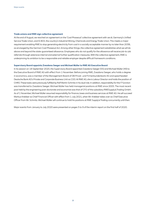#### **Trade unions and RWE sign collective agreement**

At the end of August, we reached an agreement on the 'Coal Phaseout' collective agreement with ver.di, Germany's Unified Service Trade Union, and IG BCE, the country's Industrial Mining, Chemicals and Energy Trade Union. This meets a major requirement enabling RWE to stop generating electricity from coal in a socially acceptable manner by no later than 2038, as envisaged by the German Coal Phaseout Act. Among other things, the collective agreement establishes what we will do above and beyond the state-guaranteed allowance. Employees who do not qualify for the allowance will receive job-to-job referrals through extensive internal and external further qualification measures. With the collective agreement, RWE is underpinning its ambition to be a responsible and reliable employer despite difficult framework conditions.

#### **Supervisory Board appoints Zvezdana Seeger and Michael Müller to RWE AG Executive Board**

In its session on 18 September 2020, the Supervisory Board appointed Zvezdana Seeger (55) and Michael Müller (49) to the Executive Board of RWE AG with effect from 1 November. Before joining RWE, Zvezdana Seeger, who holds a degree in economics, was a member of the Management Board of DB Privat- und Firmenkundenbank AG and spearheaded Deutsche Bank AG's Private and Corporate Business Unit as COO. At RWE AG, she is Labour Director and holds the position of CHRO. These tasks were previously fulfilled by Rolf Martin Schmitz in his dual role. In addition, responsibility for the IT function was transferred to Zvezdana Seeger. Michael Müller has held managerial positions at RWE since 2005. The most recent post held by the engineering post-doctorate and economist was that of CFO of the subsidiary RWESupply & Trading GmbH. As of 1 November, Michael Müller assumed responsibility for finance, taxes and business services at RWE AG. He will succeed Markus Krebber as Chief Financial Officer with effect from 1 July 2021, when Mr. Krebber takes over as Chief Executive Officer from Mr. Schmitz. Michael Müller will continue to hold his positions at RWE Supply & Trading concurrently until then.

Major events from January to July 2020 were presented on pages 5 to 9 of the interim report on the first half of 2020.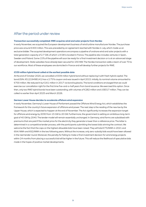## After the period under review

#### **Transaction successfully completed: RWE acquires wind and solar projects from Nordex**

In early November, we acquired the European development business of wind turbine manufacturer Nordex. The purchase price was around €400 million. This was preceded by an agreement reached with Nordex in July, which made us an exclusive bidder. The acquired development operations encompass a pipeline of onshore wind and solar projects with a total generation capacity of 2.7 GW, of which 1.9 GW is located in France. The pipeline also includes ventures in Spain, Sweden and Poland. Some 15 % of the pipeline will soon be ready for a final investment decision or is at an advanced stage of development. State subsidies have already been secured for 230 MW. The Nordex transaction adds a team of over 70 to our workforce. Most of these employees are domiciled in France and will develop further projects for RWE.

#### **€539 million hybrid bond called at the earliest possible date**

At the end of October 2020, we cancelled a €539 million hybrid bond without replacing it with fresh hybrid capital. The bond (ISIN: XS1219498141) has a 2.75 % coupon and was issued in April 2015. Initially, its nominal volume amounted to €700 million. We reduced it by €161 million in 2017 via bond buybacks. The bond conditions envisaged that we could exercise our cancellation right for the first time five-and-a-half years from bond issuance. We exercised this option. Since then, only two RWE hybrid bonds have been outstanding, with volumes of €282 million and US\$317 million. They can be called no earlier than April 2025 and March 2026.

#### **German Lower House decides to accelerate offshore wind expansion**

In early November, Germany's Lower House of Parliament passed the Offshore Wind Energy Act, which establishes the framework for the country's future expansion of offshore wind power. The next step is the reading of the new law by the Upper House, which is expected to happen at the end of November. The Act significantly increases the expansion target for offshore wind energy by 2030 from 15 GW to 20 GW. Furthermore, the government is setting an ambitious long-term goal of 40 GW by 2040. The tender model will remain essentially unchanged. In Germany, wind farms are subsidised with premiums that are paid if the market price for the electricity they generate is lower than a reference price. The latter is determined in a competitive tender process, with the participants submitting the lowest bids winning the contract. We welcome the fact that the caps on the highest allowable bids have been raised. They will total €73/MWh in 2021 and €64/ MWh and €62/MWh in the two following years. Without the increase, only zero-subsidy bids would have been allowed in the next tender round. Moreover, the penalty for failing to make a final investment decision for wind energy projects within 24 months from placing a successful bid will be higher in the future. This will reduce the likelihood of speculative bids made in the hopes of positive market developments.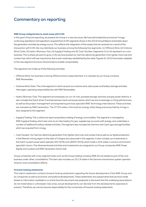## Commentary on reporting

#### **RWE Group realigned due to asset swap with E.ON**

In this year's financial reporting, we present the Group in a new structure. We have eliminated the provisional 'innogy – continuing operations' and 'operations acquired from E.ON' segments shown in the 2019 Annual Report and broken down the generation activities by energy source. This reflects the integration of the assets that we received as a result of the transaction with E.ON. We now distribute our business among the following five segments: (1) Offshore Wind, (2) Onshore Wind / Solar, (3) Hydro / Biomass / Gas, (4) Supply & Trading and (5) Coal / Nuclear. Segments (1) to (4) represent our core business. This is where we want to grow. In (5), we have pooled our German electricity generation from lignite, hard coal and nuclear fuel, which will lose importance due to exit roadmaps established by the state. Figures for 2019 have been adapted to the new segment structure retroactively to enable comparability.

The segments are made up of the following activities:

- Offshore Wind: Our business involving offshore wind is subsumed here. It is overseen by our Group company RWE Renewables.
- Onshore Wind / Solar: This is the segment in which we pool our onshore wind, solar power and battery storage activities. Here again, operating responsibility lies with RWE Renewables.
- Hydro / Biomass / Gas: This segment encompasses our run-of-river, pumped storage, biomass and gas power stations. It also includes the Dutch Amer 9 and Eemshaven hard coal power plants, which we are increasingly co-firing with biomass, as well as the project management and engineering services specialist RWE Technology International. These activities are overseen by RWE Generation. The 37.9 % stake in the Austrian energy utility Kelag previously held by innogy is also assigned to this segment.
- Supply & Trading: This is where we report proprietary trading of energy commodities. The segment is managed by RWE Supply & Trading, which also acts as an intermediary for gas, supplies key accounts with energy, and undertakes a number of additional trading-related activities. The segment also includes the German and Czech gas storage facilities which we acquired from innogy.
- Coal / Nuclear: Our German electricity generation from lignite, hard coal, and nuclear fuel as well as our lignite production in the Rhenish mining region to the west of Cologne are subsumed in this segment. It also includes our investments in the Dutch nuclear power plant operator EPZ (30 %) and URANIT (50 %), which holds a 33 % stake in uranium enrichment specialist Urenco. The aforementioned activities and investments are assigned to our Group companies RWE Power (lignite and nuclear) and RWE Generation (hard coal).

Group companies with cross-segment tasks such as the Group holding company RWE AG are stated as part of the core business under 'other, consolidation'. This item also includes our 25.1 % stake in the German transmission system operator Amprion and consolidation effects.

#### **Forward-looking statements**

This interim statement contains forward-looking statements regarding the future development of the RWE Group and its companies as well as economic and political developments. These statements are assessments that we have made based on information available to us at the time this document was prepared. In the event that the underlying assumptions do not materialise or unforeseen risks arise, actual developments can deviate from the developments expected at present. Therefore, we cannot assume responsibility for the correctness of forward-looking statements.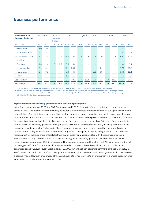## Business performance

| <b>Power generation</b><br><b>January - September</b> | <b>Renewables</b> |                          |                          | Pumped<br>storage,<br><b>batteries</b> |      | Gas  |                          | Lignite                  |      | Hard coal | <b>Nuclear</b>    |                          | Total <sup>1</sup> |       |
|-------------------------------------------------------|-------------------|--------------------------|--------------------------|----------------------------------------|------|------|--------------------------|--------------------------|------|-----------|-------------------|--------------------------|--------------------|-------|
| <b>Billion kWh</b>                                    | 2020              | 2019                     | 2020                     | 2019                                   | 2020 | 2019 | 2020                     | 2019                     | 2020 | 2019      | 2020              | 2019                     | 2020               | 2019  |
| Offshore Wind                                         | 5.0               | 2.4                      |                          |                                        |      |      |                          |                          |      |           |                   |                          | 5.0                | 2.4   |
| Onshore Wind / Solar                                  | 12.1              | 3.7                      | $\overline{\phantom{0}}$ |                                        |      |      |                          |                          |      |           |                   | $\overline{\phantom{0}}$ | 12.1               | 3.7   |
| Hydro/Biomass/Gas                                     | 4.2               | 2.6                      | 1.5                      | 1.3                                    | 34.9 | 36.8 |                          | $\overline{\phantom{0}}$ | 2.2  | 7.0       |                   | -                        | 43.0               | 47.7  |
| of which:                                             |                   |                          |                          |                                        |      |      |                          |                          |      |           |                   |                          |                    |       |
| Germany <sup>2</sup>                                  | 1.4               | 1.4                      | 1.5                      | 1.3                                    | 6.3  | 5.4  | $\qquad \qquad -$        |                          |      |           |                   | ۰                        | 9.4                | 8.1   |
| United Kingdom                                        | 0.4               | 0.4                      | $\qquad \qquad -$        | $\overline{\phantom{0}}$               | 17.1 | 25.0 | $\qquad \qquad -$        |                          |      | 0.4       | $\qquad \qquad -$ | $\overline{\phantom{m}}$ | 17.5               | 25.8  |
| <b>Netherlands</b>                                    | 2.4               | 0.8                      | $\qquad \qquad -$        |                                        | 8.4  | 4.7  | $\overline{\phantom{m}}$ | $\overline{\phantom{0}}$ | 2.2  | 6.6       |                   | -                        | 13.0               | 12.1  |
| <b>Turkey</b>                                         | -                 | $\overline{\phantom{0}}$ | -                        | $\overline{\phantom{0}}$               | 3.1  | 1.7  | $\qquad \qquad -$        | -                        |      | -         |                   | $\overline{\phantom{0}}$ | 3.1                | 1.7   |
| Coal/Nuclear <sup>2</sup>                             |                   |                          |                          |                                        | 0.6  | 0.2  | 23.4                     | 35.4                     | 1.9  | 3.3       | 15.6              | 15.2                     | 41.4               | 54.2  |
| <b>RWE Group</b>                                      | 21.3              | 8.7                      | 1.5                      | 1.3                                    | 35.5 | 37.0 | 23.4                     | 35.4                     | 4.1  | 10.3      | 15.6              | 15.2                     | 101.5              | 107.8 |

1 Including generation volumes not attributable to any of the energy sources mentioned (e. g. electricity from oil-fired power stations).

2 Including power procured from generation facilities not owned by RWE that we can deploy at our discretion on the basis of long-term agreements. These purchases amounted to 1.6 billion kWh (previous year: 1.3 billion kWh) in the Hydro / Biomass / Gas segment and 0.5 billion kWh (previous year: 1.1 billion kWh) in the Coal / Nuclear segment.

#### **Significant decline in electricity generation from coal-fired power plants**

In the first three quarters of 2020, the RWE Group produced 101.5 billion kWh of electricity, 6 % less than in the same period in 2019. This decrease is predominantly attributable to deteriorated market conditions for our lignite and hard coal power stations. One contributing factor was that gas, the competing energy source, became much cheaper and therefore more attractive. Furthermore, the corona crisis and substantial amounts of wind power put on the system reduced demand for conventionally generated electricity. Due to these two factors, less use was made of our British gas-fired power stations than in 2019. Our electricity generation from gas grew elsewhere; in Germany this was partly driven by the decline in the price of gas. In addition, in the Netherlands, Claus C resumed operations after having been offline for several years for reasons of profitability. More use was also made of our gas-fired power plant in Denizli, Turkey, than in 2019. One of the reasons was that the large share of local electricity supply customarily accounted for by hydropower experienced a weather-induced drop. The contribution of renewable energy to our electricity generation rose considerably. This was mainly because, in September 2019, we considered the operations transferred from E.ON to RWE in our figures for the full reporting period for the first time. In addition, we benefited from favourable wind conditions and the completion of generation capacity, e. g. of Peyton Creek in Texas (151 MW), which has been operating commercially since March 2020. The fact that our Dutch hard coal-fired power plants Amer 9 and Eemshaven are now increasingly run on biomass also had a positive impact. However, fire damage at the Eemshaven site in mid-May led to an interruption in biomass usage, which is expected to last until the end of November 2020.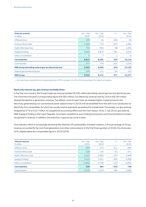| External revenue <sup>1</sup><br>$\epsilon$ million   | $Jan - Sep$<br>2020 | $Jan - Sep$<br>2019 | $+/-$  | $Jan - Dec$<br>2019 |
|-------------------------------------------------------|---------------------|---------------------|--------|---------------------|
| Offshore Wind                                         | 234                 | 25                  | 209    | 85                  |
| Onshore Wind / Solar                                  | 1,325               | 718                 | 607    | 1,265               |
| Hydro / Biomass / Gas                                 | 754                 | 656                 | 98     | 1,200               |
| Supply & Trading                                      | 6,494               | 6,875               | $-381$ | 9,554               |
| Other, consolidation                                  | 8                   | 7                   |        | -6                  |
| <b>Core business</b>                                  | 8,815               | 8,281               | 534    | 12,110              |
| Coal/Nuclear                                          | 577                 | 779                 | $-202$ | 1,015               |
| RWE Group (excluding natural gas tax/electricity tax) | 9,392               | 9,060               | 332    | 13,125              |
| Natural gas tax/electricity tax                       | 150                 | 111                 | 39     | 152                 |
| <b>RWE Group</b>                                      | 9,542               | 9,171               | 371    | 13,277              |

1 Prior-year figures restated due to changed application of IFRS; see page 116 of the 2019 Annual Report for related commentary.

#### **Electricity revenue up, gas revenue markedly down**

In the first nine months, the Group's external revenue totalled €9,392 million (excluding natural gas tax and electricity tax), 4 % more than last year's corresponding figure (€9,060 million). Our electricity revenue rose by 15 % to €8,195 million despite the decline in generation volumes. Two effects came to bear here: we realised higher market prices for the electricity generated by our conventional power stations than in 2019 and we benefited from the shift in our production to electricity from renewables, for which we usually receive payments exceeding the market level. Conversely, our gas revenue dropped by 67 % to €317 million. An exceptional accounting effect was the main reason. Since 1 July 2019, gas sales by RWE Supply & Trading in the Czech Republic have been classified as pure trading transactions and have therefore not been recognised in revenue. In addition, the reduction in gas prices came to bear.

One indicator, which is increasingly attracting the attention of sustainability-oriented investors, is the percentage of Group revenue accounted for by coal-fired generation and other coal products. In the first three quarters of 2020, this share was 24 %, slightly below the comparable figure in 2019 (25 %).

| Internal revenue<br>$\epsilon$ million | $Jan - Sep$<br>2020 | $Jan - Sep$<br>2019 | $+/-$  | $Jan - Dec$<br>2019 |
|----------------------------------------|---------------------|---------------------|--------|---------------------|
| Offshore Wind                          | 683                 | 372                 | 311    | 682                 |
| Onshore Wind / Solar                   | 206                 | 145                 | 61     | 271                 |
| Hydro / Biomass / Gas                  | 2,187               | 2,384               | $-197$ | 3,409               |
| Supply & Trading                       | 2,105               | 2,511               | $-406$ | 3.266               |
| Other, consolidation                   | $-4,852$            | $-4.728$            | $-124$ | $-6,900$            |
| <b>Core business</b>                   | 329                 | 684                 | $-355$ | 728                 |
| Coal/Nuclear                           | 2,135               | 1,679               | 456    | 2,385               |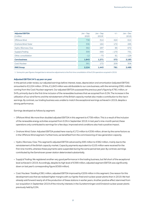| <b>Adjusted EBITDA</b><br>$\epsilon$ million | Jan - Sep<br>2020 | $Jan - Sep$<br>2019 <sup>1</sup> | $+/-$  | $Jan - Dec$<br>2019 |
|----------------------------------------------|-------------------|----------------------------------|--------|---------------------|
| Offshore Wind                                | 738               | 314                              | 424    | 614                 |
| Onshore Wind/Solar                           | 336               | 164                              | 172    | 295                 |
| Hydro / Biomass / Gas                        | 382               | 297                              | 85     | 672                 |
| Supply & Trading                             | 399               | 569                              | $-170$ | 731                 |
| Other, consolidation                         | $-12$             | $-73$                            | 61     | $-129$              |
| <b>Core business</b>                         | 1,843             | 1,271                            | 572    | 2,183               |
| Coal/Nuclear                                 | 381               | 172                              | 209    | 306                 |
| <b>RWE Group</b>                             | 2,224             | 1,443                            | 781    | 2,489               |

1 Some prior-year figures changed due to retroactive adjustments to the first-time consolidation of the E.ON operations acquired in 2019.

#### **Adjusted EBITDA 54 % up year on year**

In the period under review, our adjusted earnings before interest, taxes, depreciation and amortisation (adjusted EBITDA) amounted to €2,224 million. Of this, €1,843 million was attributable to our core business, with the remaining €381 million coming from the Coal / Nuclear segment. Our adjusted EBITDA surpassed the previous year's figure by €781 million, or 54 %, primarily due to the first-time inclusion of the renewables business that we acquired from E.ON. The increase in the utilisation of our wind farms and the reinstatement of the British capacity market also made a contribution to the rise in earnings. By contrast, our trading business was unable to match the exceptional earnings achieved in 2019, despite a strong performance.

Earnings developed as follows by segment:

- Offshore Wind: We more than doubled adjusted EBITDA in this segment to €738 million. This is a result of the inclusion of the renewable energy activities acquired from E.ON in September 2019. In last year's nine-month period, these operations only contributed to earnings for a few days. Improved wind conditions also had a positive impact.
- Onshore Wind / Solar: Adjusted EBITDA posted here rose by €172 million to €336 million, driven by the same factors as in the Offshore Wind segment. Furthermore, we benefited from the commissioning of new generation capacity.
- Hydro / Biomass / Gas: This segment's adjusted EBITDA advanced by €85 million to €382 million, mainly due to the reinstatement of the British capacity market. Capacity payments equivalent to €105 million were received for the first nine months, whereas these payments were suspended during the same period last year. By contrast, earnings contributed by the Eemshaven power station deteriorated substantially.
- Supply & Trading: We registered another very good performance in the trading business, but fell short of the exceptional level achieved in 2019. Accordingly, despite its high level of €399 million, adjusted segment EBITDA was significantly down on last year's corresponding figure (€569 million).
- Coal / Nuclear: Totalling €381 million, adjusted EBITDA improved by €209 million in this segment. One reason for this development was that we realised higher margins with our lignite-fired and nuclear power plants than in 2019. We had already sold forward nearly all of the production of these stations in earlier years. Another positive effect stemmed from our acquisition in September 2019 of the minority interests in the Gundremmingen and Emsland nuclear power plants previously held by E.ON.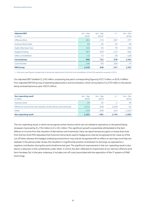| <b>Adjusted EBIT</b><br>$\epsilon$ million | $Jan - Sep$<br>2020 | $Jan - Sep$<br>2019 <sup>1</sup> | $+/-$  | $Jan - Dec$<br>2019 |
|--------------------------------------------|---------------------|----------------------------------|--------|---------------------|
| Offshore Wind                              | 461                 | 174                              | 287    | 377                 |
| Onshore Wind / Solar                       | 50                  | 25                               | 25     | 59                  |
| Hydro / Biomass / Gas                      | 134                 | 55                               | 79     | 342                 |
| Supply & Trading                           | 367                 | 539                              | $-172$ | 691                 |
| Other, consolidation                       | $-13$               | $-72$                            | 59     | $-128$              |
| <b>Core business</b>                       | 999                 | 721                              | 278    | 1,341               |
| Coal/Nuclear                               | 146                 | $-93$                            | 239    | $-74$               |
| <b>RWE Group</b>                           | 1,145               | 628                              | 517    | 1,267               |

1 Some prior-year figures changed due to retroactive adjustments to the first-time consolidation of the E.ON operations acquired in 2019.

Our adjusted EBIT totalled €1,145 million, surpassing last year's corresponding figure by €517 million, or 82 %. It differs from adjusted EBITDA by way of operating depreciation and amortisation, which amounted to €1,079 million in the period being reviewed (previous year: €815 million).

| <b>Non-operating result</b><br>$\epsilon$ million                   | Jan - Sep<br>2020 | $Jan - Sep$<br>2019 | $+/-$ | Jan – Dec<br>2019 |
|---------------------------------------------------------------------|-------------------|---------------------|-------|-------------------|
| Disposal result                                                     | 24                | 25                  | $-1$  | 48                |
| Effects on income from the valuation of derivatives and inventories | 1.271             | $-258$              | 1.529 | 81                |
| Other                                                               | $-134$            | $-348$              | 214   | $-1.210$          |
| <b>Non-operating result</b>                                         | 1,161             | $-581$              | 1.742 | $-1.081$          |

The non-operating result, in which we recognise certain factors which are not related to operations or the period being reviewed, improved by €1,742 million to €1,161 million. This significant growth is essentially attributable to the item 'effects on income from the valuation of derivatives and inventories'. Here, we report temporary gains or losses that arise from the fact that IFRS stipulates that financial instruments used to hedge price risks be recognised at fair value as of the cut-off date, whereas the hedged underlying transactions may only be recognised with an effect on earnings once they are realised. In the period under review, this resulted in a significantly positive contribution to earnings, as opposed to a negative contribution during the same timeframe last year. The significant improvement in the non-operating result is also due to a reduction in the curtailments under 'other'. In 2019, this item reflected an impairment of our German offshore wind farm Nordsee Ost. In the year underway, it includes one-off costs associated with the separation of the IT systems of RWE and innogy.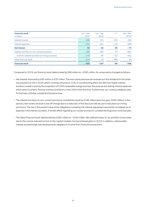| <b>Financial result</b><br>$\epsilon$ million     | $Jan - Sep$<br>2020 | $Jan - Sep$<br>2019 | $+/-$  | $Jan - Dec$<br>2019 |
|---------------------------------------------------|---------------------|---------------------|--------|---------------------|
| Interest income                                   | 266                 | 131                 | 135    | 185                 |
| Interest expenses                                 | $-231$              | $-181$              | $-50$  | $-258$              |
| <b>Net interest</b>                               | 35                  | $-50$               | 85     | $-73$               |
| Interest accretion to non-current provisions      | $-186$              | $-265$              | 79     | $-881$              |
| of which: interest accretion to mining provisions | $-143$              | $-80$               | $-63$  | $-581$              |
| Other financial result                            | $-244$              | 18                  | $-262$ | 16                  |
| <b>Financial result</b>                           | $-395$              | $-297$              | $-98$  | $-938$              |

Compared to 2019, our financial result deteriorated by €98 million to – €395 million. Its components changed as follows:

- Net interest improved by €85 million to €35 million. This was mainly because we received our first dividend for the stake we acquired in E.ON in 2019, which currently amounts to 15 %. A counteracting effect was felt from higher interest burdens caused in part by the acquisition of E.ON's renewable energy business, because we are stating interest expenses which were incurred to finance onshore wind farms in the USA for the first time. Furthermore, our currency hedging costs for business activities outside the Eurozone rose.
- The interest accretion to non-current provisions curtailed the result by €186 million (previous year: €265 million). In the period under review, we took a one-off charge due to a reduction of the discount rate we use to calculate our mining provisions. The rise in the present value of the obligations caused by the interest adjustment was partly considered as an expense in the interest accretion. A similar effect regarding our nuclear provisions curtailed earnings even more last year.
- The 'other financial result' deteriorated by €262 million to – €244 million. We suffered losses on our portfolio of securities due to the corona-induced turmoil on the capital markets, having achieved gains in 2019. In addition, unfavourable interest and exchange rate developments weighed on income from financial transactions.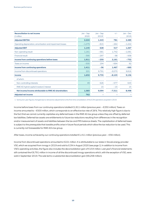| <b>Reconciliation to net income</b><br>$\epsilon$ million  | $Jan - Sep$<br>2020 | $Jan - Sep$<br>2019 <sup>1</sup> | $+/-$    | $Jan - Dec$<br>2019 |
|------------------------------------------------------------|---------------------|----------------------------------|----------|---------------------|
| <b>Adjusted EBITDA</b>                                     | 2,224               | 1,443                            | 781      | 2,489               |
| Operating depreciation, amortisation and impairment losses | $-1,079$            | $-815$                           | $-264$   | $-1,222$            |
| <b>Adjusted EBIT</b>                                       | 1,145               | 628                              | 517      | 1,267               |
| Non-operating result                                       | 1,161               | $-581$                           | 1,742    | $-1,081$            |
| <b>Financial result</b>                                    | $-395$              | $-297$                           | $-98$    | $-938$              |
| Income from continuing operations before taxes             | 1,911               | $-250$                           | 2,161    | $-752$              |
| Taxes on income                                            | $-500$              | 194                              | $-694$   | 92                  |
| <b>Income from continuing operations</b>                   | 1,411               | $-56$                            | 1.467    | $-660$              |
| Income from discontinued operations                        | 221                 | 9,791                            | $-9,570$ | 9,816               |
| <b>Income</b>                                              | 1,632               | 9,735                            | $-8,103$ | 9,156               |
| of which:                                                  |                     |                                  |          |                     |
| Non-controlling interests                                  | 49                  | 626                              | $-577$   | 643                 |
| RWE AG hybrid capital investors' interest                  |                     | 15                               | $-15$    | 15                  |
| Net income/income attributable to RWE AG shareholders      | 1,583               | 9,094                            | $-7,511$ | 8,498               |
| <b>Adjusted net income</b>                                 | 762                 |                                  |          |                     |

1 Some prior-year figures changed due to retroactive adjustments to the first-time consolidation of the E.ON operations acquired in 2019.

Income before taxes from our continuing operations totalled €1,911 million (previous year: – €250 million). Taxes on income amounted to – €500 million, which corresponds to an effective tax rate of 26 %. This relatively high figure is due to the fact that we cannot currently capitalise any deferred taxes in the RWE AG tax group unless they are offset by deferred tax liabilities. Deferred tax assets are entitlements to future tax reductions resulting from differences in the recognition and/or measurement of assets and liabilities between the tax and IFRS balance sheets. The capitalisation of deferred taxes is subject to the prerequisite that taxable profits arise in future fiscal periods which allow the tax reduction to be used. This is currently not foreseeable for RWE AG's tax group.

After taxes, income achieved by our continuing operations totalled €1,411 million (previous year: – €56 million).

Income from discontinued operations amounted to €221 million. It is attributable to our stake in Slovak energy provider VSE, which we acquired from innogy in 2019 and sold to E.ON in August 2020 (see page 1). In addition to income from VSE's operating activities, the figure also includes the deconsolidation gain of €154 million. Last year's financial statements still contained the €9,791 million in income of all the discontinued innogy operations which, with the exception of VSE, were sold in September 2019. The sale led to a substantial deconsolidation gain (€8,258 million).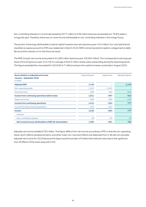Non-controlling interests in income decreased by €577 million to €49 million because we divested our 76.8 % stake in innogy last year. Therefore, there was no more income attributable to non-controlling interests in the innogy Group.

The portion of earnings attributable to hybrid capital investors was zero (previous year: €15 million). Our only hybrid bond classified as equity pursuant to IFRS was redeemed in March 2019. RWE's remaining hybrid capital is categorised as debt. We record the interest on it in the financial result.

The RWE Group's net income amounted to €1,583 million (previous year: €9,094 million). This corresponds to earnings per share of €2.54 (previous year: €14.79). An average of 624.3 million shares were outstanding during the reporting period. This figure exceeded the one posted for 2019 (614.7 million) owing to the capital increase conducted in August 2020.

| <b>Reconciliation to adjusted net income</b><br><b>January - September 2020</b><br>$\epsilon$ million | Original figures | Adjustment | Adjusted figures |
|-------------------------------------------------------------------------------------------------------|------------------|------------|------------------|
| <b>Adjusted EBIT</b>                                                                                  | 1,145            |            | 1,145            |
| Non-operating result                                                                                  | 1,161            | $-1,161$   |                  |
| <b>Financial result</b>                                                                               | $-395$           | 164        | $-231$           |
| Income from continuing operations before taxes                                                        | 1,911            | $-997$     | 914              |
| Taxes on income                                                                                       | $-500$           | 363        | $-137$           |
| Income from continuing operations                                                                     | 1,411            | $-634$     | 777              |
| Income from discontinued operations                                                                   | 221              | $-221$     |                  |
| <b>Income</b>                                                                                         | 1,632            | $-855$     | 777              |
| of which:                                                                                             |                  |            |                  |
| Non-controlling interests                                                                             | 49               | $-34$      | 15               |
| Net income/income attributable to RWE AG shareholders                                                 | 1,583            | $-821$     | 762              |

Adjusted net income totalled €762 million. This figure differs from net income according to IFRS in that the non-operating result, which reflects exceptional items, and other major non-recurrent effects are deducted from it. We did not calculate adjusted net income for 2019 because this figure would have been of limited informational value due to the significant one-off effects of the asset swap with E.ON.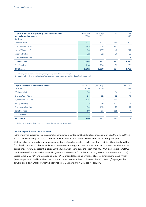| Capital expenditure on property, plant and equipment<br>and on intangible assets <sup>1</sup><br>$\epsilon$ million | $Jan - Sep$<br>2020 | Jan - Sep<br>2019 | $+/-$ | $Jan - Dec$<br>2019 |
|---------------------------------------------------------------------------------------------------------------------|---------------------|-------------------|-------|---------------------|
| Offshore Wind                                                                                                       | 473                 | 327               | 146   | 492                 |
| Onshore Wind / Solar                                                                                                | 845                 | 358               | 487   | 752                 |
| Hydro / Biomass / Gas                                                                                               | 95                  | 137               | $-42$ | 212                 |
| Supply & Trading                                                                                                    | 32                  | 12                | 20    | 29                  |
| Other, consolidation                                                                                                | $-1$                | $-2$              |       | $-3$                |
| <b>Core business</b>                                                                                                | 1,444               | 832               | 612   | 1,482               |
| Coal/Nuclear                                                                                                        | 118                 | 206               | $-88$ | 281                 |
| <b>RWE Group</b>                                                                                                    | 1,562               | 1,038             | 524   | 1,767 <sup>2</sup>  |

1 Table only shows cash investments; prior-year figures restated accordingly.

2 Including a €4 million consolidation effect between the core business and the Coal / Nuclear segment.

| Capital expenditure on financial assets <sup>1</sup><br>$\epsilon$ million | $Jan - Sep$<br>2020 | Jan - Sep<br>2019        | $+/-$ | $Jan - Dec$<br>2019 |
|----------------------------------------------------------------------------|---------------------|--------------------------|-------|---------------------|
| Offshore Wind                                                              | 34                  | $\overline{\phantom{0}}$ | 34    |                     |
| Onshore Wind / Solar                                                       | 24                  | 12                       | 12    | 46                  |
| Hydro / Biomass / Gas                                                      | 115                 | $\overline{2}$           | 113   | 2                   |
| Supply & Trading                                                           | 15                  | 66                       | $-51$ | 68                  |
| Other, consolidation                                                       | $-90$               | $-113$                   | 23    | $-112$              |
| <b>Core business</b>                                                       | 98                  | $-33$                    | 131   | $\overline{4}$      |
| Coal/Nuclear                                                               | っ                   |                          | 2     |                     |
| <b>RWE Group</b>                                                           | 100                 | $-33$                    | 133   | $\overline{4}$      |

1 Table only shows cash investments; prior-year figures restated accordingly.

#### **Capital expenditure up 65 % on 2019**

In the first three quarters of 2020, capital expenditure amounted to €1,662 million (previous year: €1,005 million). Unlike in the past, we now only focus on capital expenditure with an effect on cash in our financial reporting. We spent €1,562 million on property, plant and equipment and intangible assets – much more than in 2019 (€1,038 million). The first-time inclusion of capital expenditure in the renewable energy business received from E.ON came to bear here. In the period under review, a substantial portion of the funds was used to build the Triton Knoll (857 MW) and Kaskasi (342 MW) North Sea wind farms as well as several large-scale onshore wind farms in the USA, e. g. Raymond East/West (440 MW), Scioto Ridge (250 MW) and Cassadaga (126 MW). Our capital spending on financial assets amounted to €100 million (previous year: – €33 million). The most important transaction was the acquisition of the 382 MW King's Lynn gas-fired power plant in east England, which we acquired from UK energy utility Centrica in February.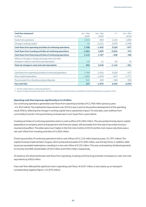| Cash flow statement <sup>1</sup>                              | $Jan - Sep$ | $Jan - Sep$      | $+/-$    | $Jan - Dec$ |
|---------------------------------------------------------------|-------------|------------------|----------|-------------|
| $\epsilon$ million                                            | 2020        | 2019             |          | 2019        |
| Funds from operations                                         | 1,813       | 669              | 1.144    | 1,809       |
| Change in working capital                                     | $-45$       | $-2,121$         | 2,076    | $-2,786$    |
| Cash flows from operating activities of continuing operations | 1,768       | $-1,452$         | 3,220    | $-977$      |
| Cash flows from investing activities of continuing operations | $-1,962$    | 1,692            | $-3,654$ | 474         |
| Cash flows from financing activities of continuing operations | 1,119       | 1,767            | $-648$   | 189         |
| Effects of changes in foreign exchange rates and other        |             |                  |          |             |
| changes in value on cash and cash equivalents                 | $-23$       | 11               | $-34$    | 13          |
| Total net changes in cash and cash equivalents                | 902         | 2,018            | $-1,116$ | $-301$      |
|                                                               |             |                  |          |             |
| Cash flows from operating activities of continuing operations | 1,768       | $-1,452$         | 3,220    | $-977$      |
| Minus capital expenditure                                     | $-1,662$    | $-1,005^2$       | $-657$   | $-1.771$    |
| Plus proceeds from divestitures/asset disposals               | 321         | 481 <sup>2</sup> | $-160$   | 695         |
| <b>Free cash flow</b>                                         | 427         | $-1,976$         | 2,403    | $-2,053$    |

1 All items solely relate to continuing operations.

2 Figures changed retrospectively due to retroactive adjustments to the first-time consolidation of the E.ON operations acquired in 2019.

#### **Operating cash flow improves significantly to €1.8 billion**

Our continuing operations generated cash flows from operating activities of €1,768 million (previous year: – €1,452 million). The substantial improvement over 2019 is due in part to the positive development of the operating result. Effects reflecting the change in working capital had a substantial impact. For example, cash outflows from commodity forwards in the period being reviewed were much lower than a year before.

Investing activities of continuing operations led to a cash outflow of €1,962 million. This was predominantly due to capital expenditure on property, plant and equipment and financial assets, with proceeds from the sale of securities having a counteracting effect. The latter were much higher in the first nine months of 2019 and the main reason why there was a net cash inflow from investing activities of €1,692 million.

Financing activities of continuing operations led to cash inflows of €1,119 million (previous year: €1,767 million). The capital increase implemented in August, which produced proceeds of €1,990 million, was the key factor. In addition, debt issuances exceeded redemptions, resulting in a net cash inflow of €133 million. This was contrasted by dividend payments to minority and RWE shareholders of €25 million and €492 million, respectively.

On balance, the aforementioned cash flows from operating, investing and financing activities increased our cash and cash equivalents by €902 million.

Free cash flow reflected the significant rise in operating cash flows. At €427 million, it was clearly up on last year's corresponding negative figure (– €1,976 million).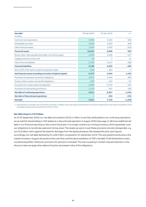| Net debt <sup>1</sup>                                         | 30 Sep 2020 | 31 Dec 2019 | $+/-$    |
|---------------------------------------------------------------|-------------|-------------|----------|
| $\epsilon$ million                                            |             |             |          |
| Cash and cash equivalents                                     | 4,095       | 3,192       | 903      |
| Marketable securities                                         | 3,932       | 3,523       | 409      |
| Other financial assets                                        | 2,024       | 2,383       | $-359$   |
| <b>Financial assets</b>                                       | 10,051      | 9,098       | 953      |
| Bonds, other notes payable, bank debt, commercial paper       | 2,359       | 2,466       | $-107$   |
| Hedging of bond currency risk                                 | 18          | 7           | 11       |
| Other financial liabilities                                   | 2,759       | 3,147       | $-388$   |
| <b>Financial liabilities</b>                                  | 5,136       | 5,620       | $-484$   |
| Minus 50% of the hybrid capital recognised as debt            | $-558$      | $-562$      | 4        |
| Net financial assets (including correction of hybrid capital) | 5,473       | 4,040       | 1,433    |
| Provisions for pensions and similar obligations               | 3,931       | 3,446       | 485      |
| Surplus of plan assets over benefit obligations               | $-220$      | $-153$      | $-67$    |
| Provisions for nuclear waste management                       | 6,539       | 6.723       | $-184$   |
| Provisions for dismantling wind farms                         | 1,134       | 951         | 183      |
| <b>Net debt of continuing operations</b>                      | 5,911       | 6.927       | $-1.016$ |
| Net debt of discontinued operations                           |             | 232         | $-232$   |
| Net debt                                                      | 5,911       | 7,159       | $-1,248$ |

1 New definition of net debt: see commentary in the text. In addition, prior-year figures restated due to retroactive adjustments to the initial consolidation of the renewable energy business acquired from E.ON in 2019.

#### **Net debt drops to €5.9 billion**

As of 30 September 2020, our net debt amounted to €5,911 million. It was fully attributable to our continuing operations, as we sold the shareholding in VSE stated as a discontinued operation in August 2020 (see page 1). We have redefined net debt in our financial reporting on the current fiscal year. It no longer contains our mining provisions, which essentially cover our obligations to recultivate opencast mining areas. The assets we use to cover these provisions are also disregarded, e. g. our €2.6 billion claim against the state for damages from the lignite phaseout. We restated the prior-year figures accordingly. Our net debt declined by €1,248 million compared to 31 December 2019. This was predominantly due to the capital increase in August, the positive free cash flow, and the deconsolidation of VSE's net debt. Profit distributions had a counteracting effect. Moreover, provisions for pensions increased. This was caused by a market-induced reduction in the discount rates we apply when determining the net present value of the obligations.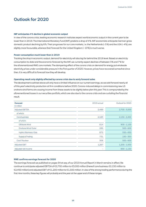## Outlook for 2020

#### **IMF anticipates 4 % decline in global economic output**

In view of the corona crisis, leading economic research institutes expect world economic output in the current year to be lower than in 2019. The International Monetary Fund (IMF) predicts a drop of 4 %. IMF economists anticipate German gross domestic product declining by 6 %. Their prognoses for our core markets, i. e. the Netherlands (– 5 %) and the USA (– 4 %), are slightly more favourable, whereas their forecast for the United Kingdom (– 10 %) is much worse.

#### **Power consumption much lower than in 2019**

Tracking the drop in economic output, demand for electricity will also lag far behind the 2019 level. Based on electricity consumption to date and the economic forecast by the IMF, we currently expect declines of between 3 % and 7 % for the aforementioned RWE core markets. The dampening effect of the corona crisis on demand for energy put wholesale electricity prices under considerable pressure in the first quarter of 2020. However, prices have recovered somewhat since then. It is very difficult to forecast how they will develop.

#### **Operating result only slightly affected by corona crisis due to early forward sales**

The development outlined above will only have a limited influence on our current earnings, as we sold forward nearly all of this year's electricity production at firm conditions before 2020. Corona-induced delays in commissioning new US onshore wind farms are causing income from these assets to be slightly below plan this year. This is compounded by the aforementioned losses in our securities portfolio, which are also due to the corona crisis and are curtailing the financial result.

| <b>Forecast</b><br>$\epsilon$ million | 2019 actual | Outlook for 2020 |
|---------------------------------------|-------------|------------------|
| <b>Adjusted EBITDA</b>                | 2,489       | $2,700 - 3,000$  |
| of which:                             |             |                  |
| Core business                         | 2,183       | $2,150 - 2,450$  |
| of which:                             |             |                  |
| Offshore Wind                         | 614         | $900 - 1,100$    |
| Onshore Wind / Solar                  | 295         | $500 - 600$      |
| Hydro / Biomass / Gas                 | 672         | $550 - 650$      |
| Supply & Trading                      | 731         | $150 - 350$      |
| Coal/Nuclear                          | 306         | $500 - 600$      |
| <b>Adjusted EBIT</b>                  | 1,267       | $1,200 - 1,500$  |
| Adjusted net income                   |             | $850 - 1,150$    |

#### **RWE confirms earnings forecast for 2020**

The earnings forecast we published on pages 94 et seq. of our 2019 Annual Report in March remains in effect. We continue to anticipate adjusted EBITDA of €2,700 million to €3,000 million (thereof core business: €2,150 million to €2,450 million) and adjusted EBIT of €1,200 million to €1,500 million. In view of the strong trading performance during the first nine months, these key figures will probably end the year at the upper end of these ranges.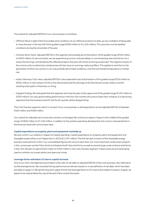The outlook for adjusted EBITDA of our core business is as follows:

- Offshore Wind: In light of the favourable wind conditions at our offshore locations to date, we are confident of being able to close the year in the top half of the guided range (€900 million to €1,100 million). This assumes normal weather conditions during the remainder of the year.
- Onshore Wind / Solar: Adjusted EBITDA in this segment will probably be at the bottom of the guided range (€500 million to €600 million). As set out earlier, we are experiencing corona-induced delays in commissioning new wind farms. As a result, the earnings contributed by the affected projects this year will not be as strong as planned. The negative impact of the corona crisis on electricity market prices will also have an earnings-reducing effect. This applies to wind farms, the generation of which we cannot or can only partially sell at fixed conditions, and that are therefore exposed to a market risk.
- Hydro / Biomass / Gas: Here, adjusted EBITDA is also expected to be at the bottom of the guided range (€550 million to €650 million). A main reason for this is the aforementioned fire damage at the Eemshaven power station and the resulting interruption of biomass co-firing.
- Supply & Trading: We anticipate that this segment will close the year at the upper end of the guided range (€150 million to €350 million). Our very good trading performance in the first nine months will come to bear here. However, it is becoming apparent that the business trend for the fourth quarter will be disappointing.

The Coal / Nuclear segment, which is not part of our core business, is still expected to record adjusted EBITDA of between €500 million and €600 million.

Our outlook for adjusted net income also remains unchanged. We continue to expect a figure in the middle of the guided range of €850 million to €1,150 million. In addition to the positive operating development, the corona-induced decline in the financial result will come to bear here.

#### **Capital expenditure on property, plant and equipment markedly up**

We also confirm our outlook in respect of capital spending. Capital expenditure on property, plant and equipment and intangible assets will be much higher than in 2019 (€1,767 million). The first full-year inclusion of the renewable energy business received from E.ON in our consolidated figures will come to bear here. Our most important construction projects in the current year are the Triton Knoll and Kaskasi North Sea wind farms as well as several large-scale onshore wind farms in the USA. We plan to spend €200 million to €300 million in the Coal / Nuclear segment. These funds are primarily being used to maintain our power plants and opencast mines.

#### **Leverage factor well below 3.0 due to capital increase**

One of our main management parameters is the ratio of net debt to adjusted EBITDA of the core business, also referred to as the leverage factor. We calculate this key performance indicator based on a new definition of net debt, which has been provided on page 14. We set the long-term upper limit for the leverage factor at 3.0. Due to the capital increase in August, we expect to be clearly below this cap at the end of the current fiscal year.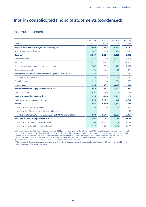# Interim consolidated financial statements (condensed)

### Income statement

|                                                                 | $Jul - Sep$ | $Jul - Sep$ | Jan - Sep | $Jan - Sep$ |
|-----------------------------------------------------------------|-------------|-------------|-----------|-------------|
| $\epsilon$ million                                              | 2020        | 20191       | 2020      | 20191       |
| Revenue (including natural gas tax/electricity tax)             | 2,963       | 2,655       | 9,542     | 9,171       |
| Natural gas tax/electricity tax                                 | $-46$       | $-36$       | $-150$    | $-111$      |
| Revenue <sup>2</sup>                                            | 2,917       | 2,619       | 9,392     | 9,060       |
| Cost of materials                                               | $-1,615$    | $-1,729$    | $-5,262$  | $-6,894$    |
| Staff costs                                                     | $-517$      | $-492$      | $-1,647$  | $-1,532$    |
| Depreciation, amortisation and impairment losses                | $-387$      | $-574$      | $-1,122$  | $-1,087$    |
| Other operating result                                          | 81          | $-31$       | 679       | 244         |
| Income from investments accounted for using the equity method   | 74          | 74          | 252       | 239         |
| Other income from investments                                   | 3           | 15          | 14        | 17          |
| <b>Financial income</b>                                         | 622         | 98          | 1,584     | 503         |
| Finance costs                                                   | $-713$      | $-163$      | $-1,979$  | $-800$      |
| Income from continuing operations before tax                    | 465         | $-183$      | 1,911     | $-250$      |
| Taxes on income                                                 | $-51$       | 43          | $-500$    | 194         |
| <b>Income from continuing operations</b>                        | 414         | $-140$      | 1,411     | $-56$       |
| Income from discontinued operations                             | 171         | 8,480       | 221       | 9,791       |
| Income                                                          | 585         | 8.340       | 1,632     | 9.735       |
| of which: non-controlling interests                             | 12          | 76          | 49        | 626         |
| of which: RWE AG hybrid capital investors' interest             |             |             |           | 15          |
| of which: net income/income attributable to RWE AG shareholders | 573         | 8,264       | 1,583     | 9,094       |
| Basic and diluted earnings per share in $\mathbf{\epsilon}^3$   | 0.90        | 13.44       | 2.54      | 14.79       |
| of which: from continuing operations in $\epsilon^3$            | 0.64        | $-0.17$     | 2.24      | $-0.14$     |
| of which: from discontinued operations in $\epsilon^3$          | 0.26        | 13.61       | 0.30      | 14.93       |

1 Prior-year figures restated: in the first three quarters of 2019, the implementation of the failed own use IFRS IC agenda decision drove down revenue and the cost of materials by €47 million and €173 million respectively. This did not impact on earnings, as the other operating result decreased by €126 million in light of this; see page 116 of the 2019 annual report for background information. Furthermore, some prior-year figures were restated due to a retroactive change in the first-time consolidation of the acquired E.ON activities; see page 35 of the interim report for the first half of 2020.

2 A presentation of revenue by segment can be found on page 6 of the interim statement.

3 The average number of shares outstanding was higher than in 2019 due to the capital increase conducted in August 2020; see pages 1 and 11 of the interim statement for related commentary.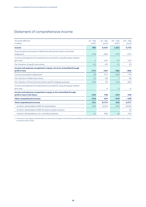## Statement of comprehensive income

| Amounts after tax                                                                      | $Jul - Sep$ | $Jul - Sep$ | $Jan - Sep$    | $Jan - Sep$ |
|----------------------------------------------------------------------------------------|-------------|-------------|----------------|-------------|
| $\epsilon$ million                                                                     | 2020        | 20191       | 2020           | 20191       |
| Income                                                                                 | 585         | 8,340       | 1,632          | 9,735       |
| Actuarial gains and losses of defined benefit pension plans and similar<br>obligations | $-479$      | $-368$      | $-376$         | $-974$      |
| Income and expenses of investments accounted for using the equity method<br>(pro rata) | $-1$        | 146         | $-27$          | 145         |
| Fair valuation of equity instruments                                                   | $-91$       | $-82$       | 21             | 23          |
| Income and expenses recognised in equity, not to be reclassified through               |             |             |                |             |
| profit or loss                                                                         | $-571$      | $-304$      | $-382$         | $-806$      |
| Currency translation adjustment                                                        | 69          | 737         | $-453$         | 779         |
| Fair valuation of debt instruments                                                     | 10          | $-28$       | $\overline{7}$ | 36          |
| Fair valuation of financial instruments used for hedging purposes                      | $-424$      | 33          | $-146$         | $-363$      |
| Income and expenses of investments accounted for using the equity method<br>(pro rata) |             | $-4$        | $-2$           | $-4$        |
| Income and expenses recognised in equity, to be reclassified through                   |             |             |                |             |
| profit or loss in the future                                                           | $-345$      | 738         | $-594$         | 448         |
| Other comprehensive income                                                             | $-916$      | 434         | $-976$         | $-358$      |
| <b>Total comprehensive income</b>                                                      | $-331$      | 8.774       | 656            | 9,377       |
| of which: attributable to RWE AG shareholders                                          | $-342$      | 8,416       | 644            | 8,622       |
| of which: attributable to RWE AG hybrid capital investors                              |             |             |                | 15          |
| of which: attributable to non-controlling interests                                    | 11          | 358         | 12             | 740         |

1 Some prior-year figures restated due to a retroactive change in the first-time consolidation of the acquired E.ON activities; see page 35 of the interim report on the first half of 2020.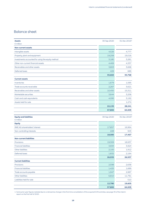## Balance sheet

| <b>Assets</b>                                       | 30 Sep 2020 | 31 Dec 2019 <sup>1</sup> |
|-----------------------------------------------------|-------------|--------------------------|
| $\epsilon$ million                                  |             |                          |
| <b>Non-current assets</b>                           |             |                          |
| Intangible assets                                   | 4,526       | 4,777                    |
| Property, plant and equipment                       | 19,258      | 19,016                   |
| Investments accounted for using the equity method   | 3,180       | 3,281                    |
| Other non-current financial assets                  | 4,469       | 4,337                    |
| Receivables and other assets                        | 3,803       | 3,668                    |
| Deferred taxes                                      | 429         | 689                      |
|                                                     | 35,665      | 35,768                   |
| <b>Current assets</b>                               |             |                          |
| Inventories                                         | 1,679       | 1,585                    |
| Trade accounts receivable                           | 2,267       | 3,621                    |
| Receivables and other assets                        | 10,450      | 15,311                   |
| Marketable securities                               | 3,644       | 3,258                    |
| Cash and cash equivalents                           | 4,095       | 3,192                    |
| Assets held for sale                                |             | 1,274                    |
|                                                     | 22,135      | 28,241                   |
|                                                     | 57,800      | 64,009                   |
|                                                     |             |                          |
|                                                     |             |                          |
| <b>Equity and liabilities</b><br>$\epsilon$ million | 30 Sep 2020 | 31 Dec 2019 <sup>1</sup> |
| <b>Equity</b>                                       |             |                          |
| RWE AG shareholders' interest                       | 17,857      | 16,964                   |
| Non-controlling interests                           | 228         | 503                      |
|                                                     | 18,085      | 17,467                   |
| <b>Non-current liabilities</b>                      |             |                          |
| Provisions                                          | 19,309      | 18,937                   |
| <b>Financial liabilities</b>                        | 3,694       | 3,924                    |
| Other liabilities                                   | 2,100       | 1,912                    |
| Deferred taxes                                      | 1,832       | 2,164                    |
|                                                     | 26,935      | 26,937                   |
| <b>Current liabilities</b>                          |             |                          |
| Provisions                                          | 2,598       | 2,638                    |
| <b>Financial liabilities</b>                        | 1,425       | 1,689                    |
| Trade accounts payable                              | 1,947       | 2,987                    |
| Other liabilities                                   | 6,810       | 11,781                   |
| Liabilities held for sale                           |             | 510                      |
|                                                     | 12,780      | 19,605                   |

<sup>1</sup> Some prior-year figures restated due to a retroactive change in the first-time consolidation of the acquired E.ON activities; see page 35 of the interim report on the first half of 2020.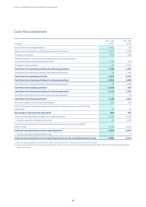## Cash flow statement

|                                                                                                                     | Jan - Sep | Jan - Sep |
|---------------------------------------------------------------------------------------------------------------------|-----------|-----------|
| $\epsilon$ million                                                                                                  | 2020      | 2019      |
| Income from continuing operations                                                                                   | 1,411     | -56       |
| Depreciation, amortisation and impairment losses/write-backs                                                        | 1,072     | 1.098     |
| Changes in provisions                                                                                               | $-232$    | $-240$    |
| Deferred taxes/non-cash income and expenses/income from disposal of<br>non-current assets and marketable securities | $-438$    | $-133$    |
| Changes in working capital                                                                                          | $-45$     | $-2.121$  |
| Cash flows from operating activities of continuing operations                                                       | 1,768     | $-1,452$  |
| Cash flows from operating activities of discontinued operations                                                     | 50        | $-561$    |
| <b>Cash flows from operating activities</b>                                                                         | 1,818     | $-2,013$  |
| Cash flows from investing activities of continuing operations <sup>1</sup>                                          | $-1,962$  | 1.692     |
| Cash flows from investing activities of discontinued operations <sup>2</sup>                                        | $-76$     | $-1,189$  |
| Cash flows from investing activities <sup>2</sup>                                                                   | $-2,038$  | 503       |
| Cash flows from financing activities of continuing operations                                                       | 1,119     | 1,767     |
| Cash flows from financing activities of discontinued operations                                                     | 7         | 52        |
| <b>Cash flows from financing activities</b>                                                                         | 1,126     | 1,819     |
| Net cash change in cash and cash equivalents <sup>2</sup>                                                           | 906       | 309       |
| Effect of changes in foreign exchange rates and other changes in value on cash and cash<br>equivalents <sup>2</sup> | $-23$     | 13        |
| Net change in cash and cash equivalents                                                                             | 883       | 322       |
| Cash and cash equivalents at beginning of reporting period                                                          | 3,212     | 5,225     |
| of which: reported as 'Assets held for sale'                                                                        | 20        | 1,702     |
| Cash and cash equivalents at beginning of reporting period as per the consolidated<br>balance sheet                 | 3.192     | 3.523     |
| Cash and cash equivalents at end of reporting period                                                                | 4,095     | 5,547     |
| of which: reported as 'Assets held for sale'                                                                        |           | 6         |
| Cash and cash equivalents at end of reporting period as per the consolidated balance sheet                          | 4.095     | 5.541     |

1 After the initial/subsequent transfer to plan assets in the amount of €97 million (prior-year period: €41 million).

2 Figures restated due to the change in the presentation of the purchase price paid to innogy for the acquisition of the 49% stake in Slovak energy utility VSE in the previous year.